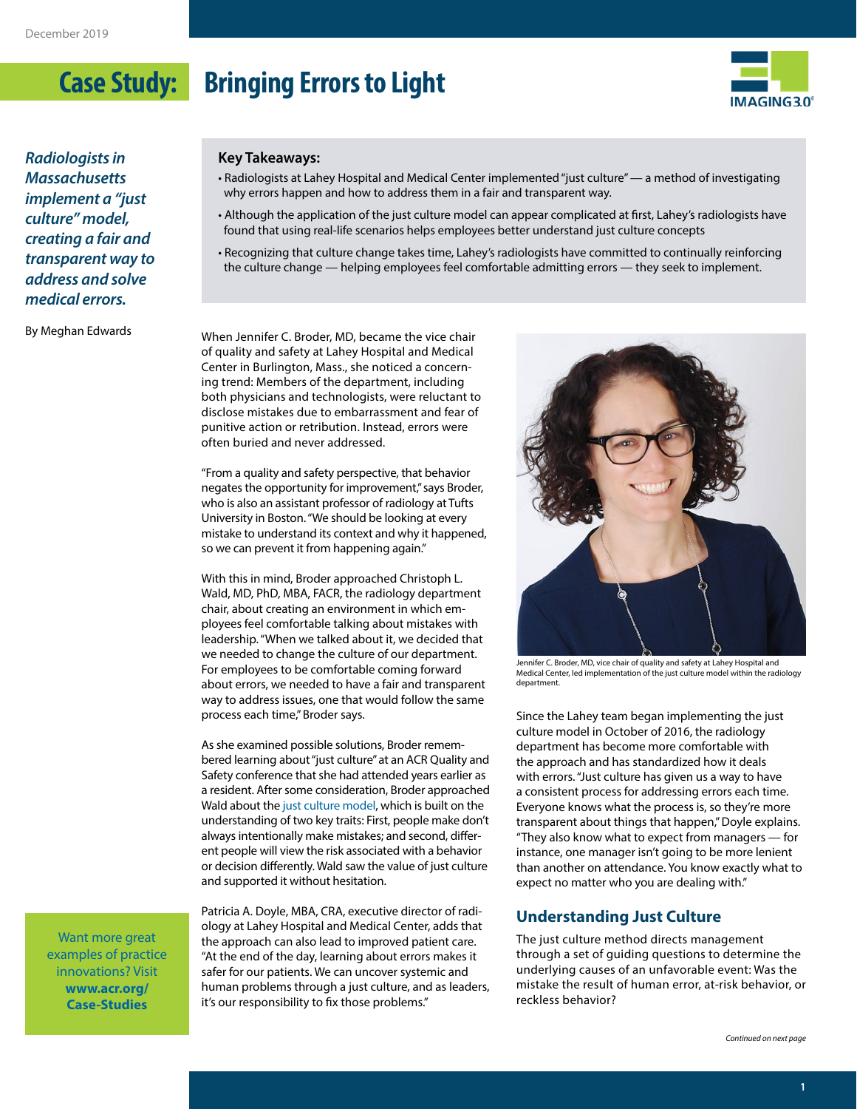

*Radiologists in Massachusetts implement a "just culture" model, creating a fair and transparent way to address and solve medical errors.*

By Meghan Edwards

#### **Key Takeaways:**

• Radiologists at Lahey Hospital and Medical Center implemented "just culture" — a method of investigating why errors happen and how to address them in a fair and transparent way.

- Although the application of the just culture model can appear complicated at first, Lahey's radiologists have found that using real-life scenarios helps employees better understand just culture concepts
- Recognizing that culture change takes time, Lahey's radiologists have committed to continually reinforcing the culture change — helping employees feel comfortable admitting errors — they seek to implement.

When Jennifer C. Broder, MD, became the vice chair of quality and safety at Lahey Hospital and Medical Center in Burlington, Mass., she noticed a concerning trend: Members of the department, including both physicians and technologists, were reluctant to disclose mistakes due to embarrassment and fear of punitive action or retribution. Instead, errors were often buried and never addressed.

"From a quality and safety perspective, that behavior negates the opportunity for improvement," says Broder, who is also an assistant professor of radiology at Tufts University in Boston. "We should be looking at every mistake to understand its context and why it happened, so we can prevent it from happening again."

With this in mind, Broder approached Christoph L. Wald, MD, PhD, MBA, FACR, the radiology department chair, about creating an environment in which employees feel comfortable talking about mistakes with leadership. "When we talked about it, we decided that we needed to change the culture of our department. For employees to be comfortable coming forward about errors, we needed to have a fair and transparent way to address issues, one that would follow the same process each time," Broder says.

As she examined possible solutions, Broder remembered learning about "just culture" at an ACR Quality and Safety conference that she had attended years earlier as a resident. After some consideration, Broder approached Wald about th[e just culture model](https://www.ajronline.org/doi/abs/10.2214/AJR.19.21566?journalCode=ajr), which is built on the understanding of two key traits: First, people make don't always intentionally make mistakes; and second, different people will view the risk associated with a behavior or decision differently. Wald saw the value of just culture and supported it without hesitation.

Want more great examples of practice innovations? Visit **[www.acr.org/](https://www.acr.org/Practice-Management-Quality-Informatics/Imaging-3/Case-Studies) [Case-Studies](https://www.acr.org/Practice-Management-Quality-Informatics/Imaging-3/Case-Studies)**

Patricia A. Doyle, MBA, CRA, executive director of radiology at Lahey Hospital and Medical Center, adds that the approach can also lead to improved patient care. "At the end of the day, learning about errors makes it safer for our patients. We can uncover systemic and human problems through a just culture, and as leaders, it's our responsibility to fix those problems."



Jennifer C. Broder, MD, vice chair of quality and safety at Lahey Hospital and Medical Center, led implementation of the just culture model within the radiology department.

Since the Lahey team began implementing the just culture model in October of 2016, the radiology department has become more comfortable with the approach and has standardized how it deals with errors. "Just culture has given us a way to have a consistent process for addressing errors each time. Everyone knows what the process is, so they're more transparent about things that happen," Doyle explains. "They also know what to expect from managers — for instance, one manager isn't going to be more lenient than another on attendance. You know exactly what to expect no matter who you are dealing with."

### **Understanding Just Culture**

The just culture method directs management through a set of guiding questions to determine the underlying causes of an unfavorable event: Was the mistake the result of human error, at-risk behavior, or reckless behavior?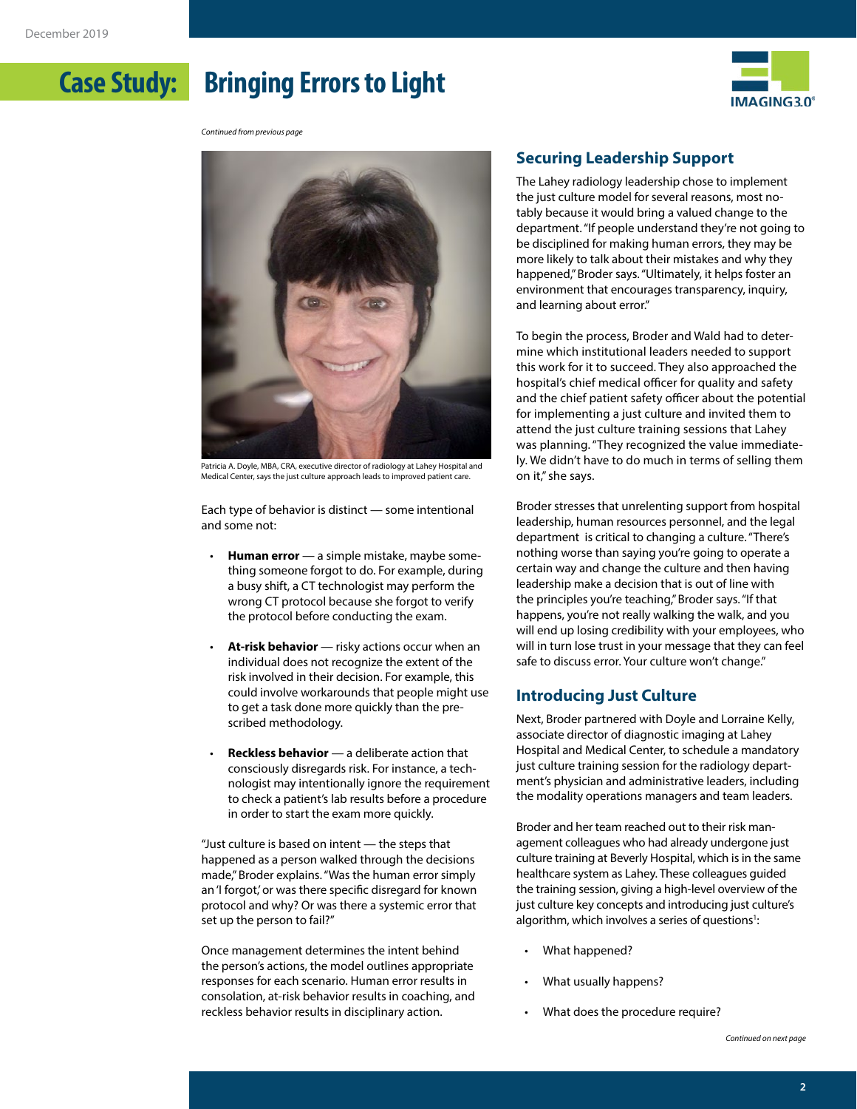

*Continued from previous page*



Patricia A. Doyle, MBA, CRA, executive director of radiology at Lahey Hospital and Medical Center, says the just culture approach leads to improved patient care.

Each type of behavior is distinct — some intentional and some not:

- **Human error**  a simple mistake, maybe something someone forgot to do. For example, during a busy shift, a CT technologist may perform the wrong CT protocol because she forgot to verify the protocol before conducting the exam.
- At-risk behavior risky actions occur when an individual does not recognize the extent of the risk involved in their decision. For example, this could involve workarounds that people might use to get a task done more quickly than the prescribed methodology.
- **Reckless behavior** a deliberate action that consciously disregards risk. For instance, a technologist may intentionally ignore the requirement to check a patient's lab results before a procedure in order to start the exam more quickly.

"Just culture is based on intent — the steps that happened as a person walked through the decisions made," Broder explains. "Was the human error simply an 'I forgot,' or was there specific disregard for known protocol and why? Or was there a systemic error that set up the person to fail?"

Once management determines the intent behind the person's actions, the model outlines appropriate responses for each scenario. Human error results in consolation, at-risk behavior results in coaching, and reckless behavior results in disciplinary action.

### **Securing Leadership Support**

The Lahey radiology leadership chose to implement the just culture model for several reasons, most notably because it would bring a valued change to the department. "If people understand they're not going to be disciplined for making human errors, they may be more likely to talk about their mistakes and why they happened," Broder says. "Ultimately, it helps foster an environment that encourages transparency, inquiry, and learning about error."

To begin the process, Broder and Wald had to determine which institutional leaders needed to support this work for it to succeed. They also approached the hospital's chief medical officer for quality and safety and the chief patient safety officer about the potential for implementing a just culture and invited them to attend the just culture training sessions that Lahey was planning. "They recognized the value immediately. We didn't have to do much in terms of selling them on it," she says.

Broder stresses that unrelenting support from hospital leadership, human resources personnel, and the legal department is critical to changing a culture. "There's nothing worse than saying you're going to operate a certain way and change the culture and then having leadership make a decision that is out of line with the principles you're teaching," Broder says. "If that happens, you're not really walking the walk, and you will end up losing credibility with your employees, who will in turn lose trust in your message that they can feel safe to discuss error. Your culture won't change."

### **Introducing Just Culture**

Next, Broder partnered with Doyle and Lorraine Kelly, associate director of diagnostic imaging at Lahey Hospital and Medical Center, to schedule a mandatory just culture training session for the radiology department's physician and administrative leaders, including the modality operations managers and team leaders.

Broder and her team reached out to their risk management colleagues who had already undergone just culture training at Beverly Hospital, which is in the same healthcare system as Lahey. These colleagues guided the training session, giving a high-level overview of the just culture key concepts and introducing just culture's algorithm, which involves a series of questions $^{\text{!}}$ :

- What happened?
- What usually happens?
- What does the procedure require?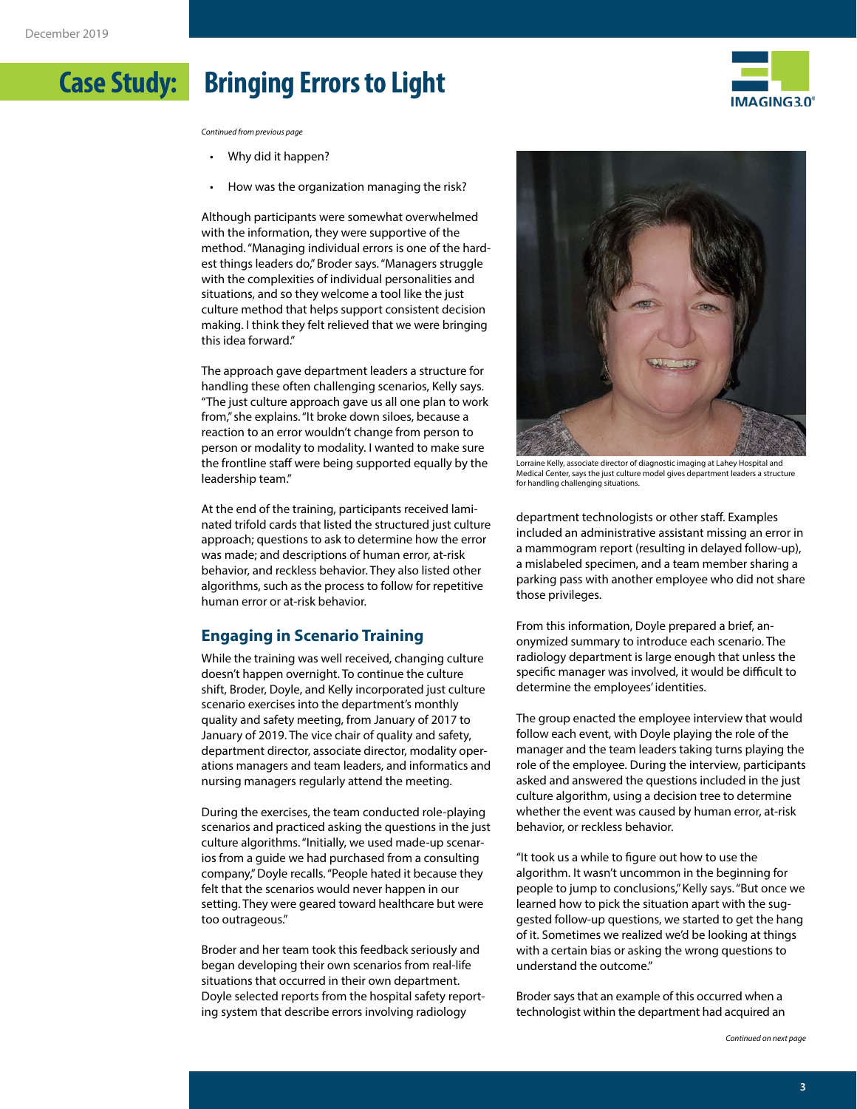

*Continued from previous page*

- Why did it happen?
- How was the organization managing the risk?

Although participants were somewhat overwhelmed with the information, they were supportive of the method. "Managing individual errors is one of the hardest things leaders do," Broder says. "Managers struggle with the complexities of individual personalities and situations, and so they welcome a tool like the just culture method that helps support consistent decision making. I think they felt relieved that we were bringing this idea forward."

The approach gave department leaders a structure for handling these often challenging scenarios, Kelly says. "The just culture approach gave us all one plan to work from," she explains. "It broke down siloes, because a reaction to an error wouldn't change from person to person or modality to modality. I wanted to make sure the frontline staff were being supported equally by the leadership team."

At the end of the training, participants received laminated trifold cards that listed the structured just culture approach; questions to ask to determine how the error was made; and descriptions of human error, at-risk behavior, and reckless behavior. They also listed other algorithms, such as the process to follow for repetitive human error or at-risk behavior.

### **Engaging in Scenario Training**

While the training was well received, changing culture doesn't happen overnight. To continue the culture shift, Broder, Doyle, and Kelly incorporated just culture scenario exercises into the department's monthly quality and safety meeting, from January of 2017 to January of 2019. The vice chair of quality and safety, department director, associate director, modality operations managers and team leaders, and informatics and nursing managers regularly attend the meeting.

During the exercises, the team conducted role-playing scenarios and practiced asking the questions in the just culture algorithms. "Initially, we used made-up scenarios from a guide we had purchased from a consulting company," Doyle recalls. "People hated it because they felt that the scenarios would never happen in our setting. They were geared toward healthcare but were too outrageous."

Broder and her team took this feedback seriously and began developing their own scenarios from real-life situations that occurred in their own department. Doyle selected reports from the hospital safety reporting system that describe errors involving radiology



Lorraine Kelly, associate director of diagnostic imaging at Lahey Hospital and Medical Center, says the just culture model gives department leaders a structure for handling challenging situations.

department technologists or other staff. Examples included an administrative assistant missing an error in a mammogram report (resulting in delayed follow-up), a mislabeled specimen, and a team member sharing a parking pass with another employee who did not share those privileges.

From this information, Doyle prepared a brief, anonymized summary to introduce each scenario. The radiology department is large enough that unless the specific manager was involved, it would be difficult to determine the employees' identities.

The group enacted the employee interview that would follow each event, with Doyle playing the role of the manager and the team leaders taking turns playing the role of the employee. During the interview, participants asked and answered the questions included in the just culture algorithm, using a decision tree to determine whether the event was caused by human error, at-risk behavior, or reckless behavior.

"It took us a while to figure out how to use the algorithm. It wasn't uncommon in the beginning for people to jump to conclusions," Kelly says. "But once we learned how to pick the situation apart with the suggested follow-up questions, we started to get the hang of it. Sometimes we realized we'd be looking at things with a certain bias or asking the wrong questions to understand the outcome."

Broder says that an example of this occurred when a technologist within the department had acquired an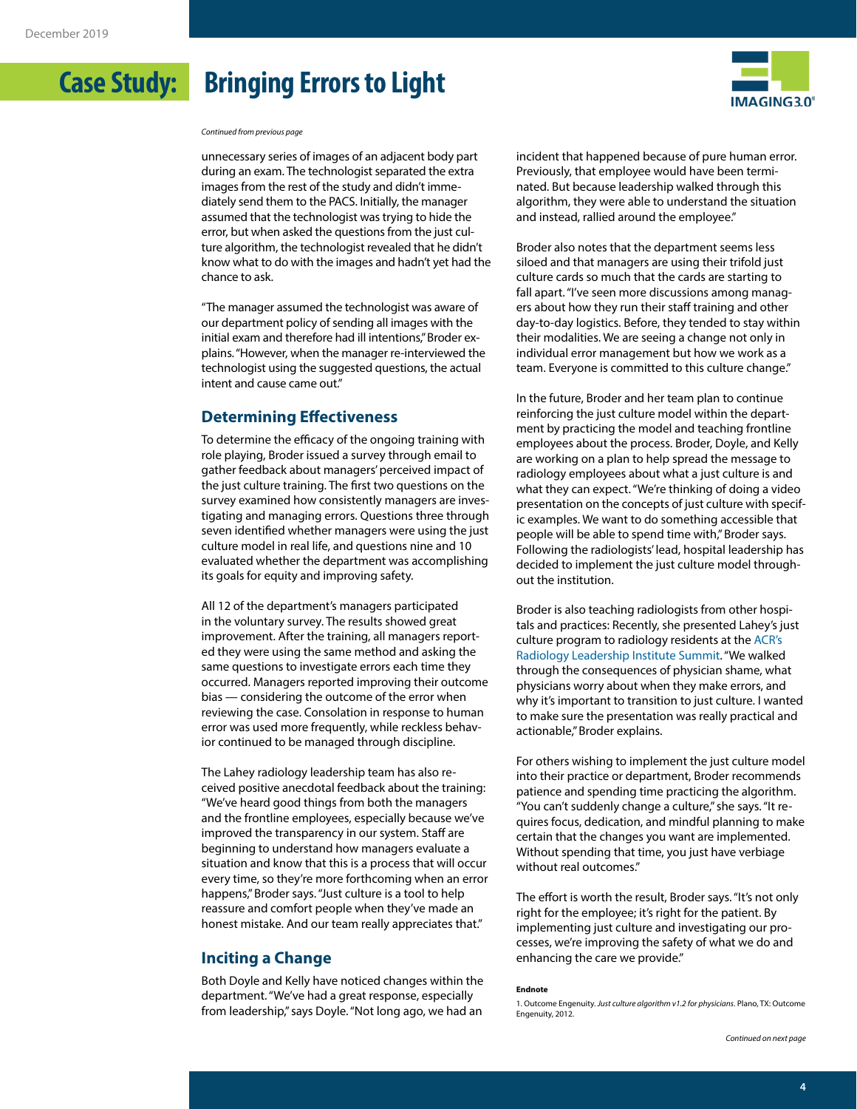

*Continued from previous page*

unnecessary series of images of an adjacent body part during an exam. The technologist separated the extra images from the rest of the study and didn't immediately send them to the PACS. Initially, the manager assumed that the technologist was trying to hide the error, but when asked the questions from the just culture algorithm, the technologist revealed that he didn't know what to do with the images and hadn't yet had the chance to ask.

"The manager assumed the technologist was aware of our department policy of sending all images with the initial exam and therefore had ill intentions," Broder explains. "However, when the manager re-interviewed the technologist using the suggested questions, the actual intent and cause came out."

#### **Determining Effectiveness**

To determine the efficacy of the ongoing training with role playing, Broder issued a survey through email to gather feedback about managers' perceived impact of the just culture training. The first two questions on the survey examined how consistently managers are investigating and managing errors. Questions three through seven identified whether managers were using the just culture model in real life, and questions nine and 10 evaluated whether the department was accomplishing its goals for equity and improving safety.

All 12 of the department's managers participated in the voluntary survey. The results showed great improvement. After the training, all managers reported they were using the same method and asking the same questions to investigate errors each time they occurred. Managers reported improving their outcome bias — considering the outcome of the error when reviewing the case. Consolation in response to human error was used more frequently, while reckless behavior continued to be managed through discipline.

The Lahey radiology leadership team has also received positive anecdotal feedback about the training: "We've heard good things from both the managers and the frontline employees, especially because we've improved the transparency in our system. Staff are beginning to understand how managers evaluate a situation and know that this is a process that will occur every time, so they're more forthcoming when an error happens," Broder says. "Just culture is a tool to help reassure and comfort people when they've made an honest mistake. And our team really appreciates that."

### **Inciting a Change**

Both Doyle and Kelly have noticed changes within the department. "We've had a great response, especially from leadership," says Doyle. "Not long ago, we had an

incident that happened because of pure human error. Previously, that employee would have been terminated. But because leadership walked through this algorithm, they were able to understand the situation and instead, rallied around the employee."

Broder also notes that the department seems less siloed and that managers are using their trifold just culture cards so much that the cards are starting to fall apart. "I've seen more discussions among managers about how they run their staff training and other day-to-day logistics. Before, they tended to stay within their modalities. We are seeing a change not only in individual error management but how we work as a team. Everyone is committed to this culture change."

In the future, Broder and her team plan to continue reinforcing the just culture model within the department by practicing the model and teaching frontline employees about the process. Broder, Doyle, and Kelly are working on a plan to help spread the message to radiology employees about what a just culture is and what they can expect. "We're thinking of doing a video presentation on the concepts of just culture with specific examples. We want to do something accessible that people will be able to spend time with," Broder says. Following the radiologists' lead, hospital leadership has decided to implement the just culture model throughout the institution.

Broder is also teaching radiologists from other hospitals and practices: Recently, she presented Lahey's just culture program to radiology residents at the ACR's Radiology Leadership Institut[e Summit](https://www.acr.org/Practice-Management-Quality-Informatics/Radiology-Leadership-Institute/Programs-and-Training/Leadership-Summit). "We walked through the consequences of physician shame, what physicians worry about when they make errors, and why it's important to transition to just culture. I wanted to make sure the presentation was really practical and actionable," Broder explains.

For others wishing to implement the just culture model into their practice or department, Broder recommends patience and spending time practicing the algorithm. "You can't suddenly change a culture," she says. "It requires focus, dedication, and mindful planning to make certain that the changes you want are implemented. Without spending that time, you just have verbiage without real outcomes."

The effort is worth the result, Broder says. "It's not only right for the employee; it's right for the patient. By implementing just culture and investigating our processes, we're improving the safety of what we do and enhancing the care we provide."

#### **Endnote**

<sup>1.</sup> Outcome Engenuity. *Just culture algorithm v1.2 for physicians*. Plano, TX: Outcome Engenuity, 2012.